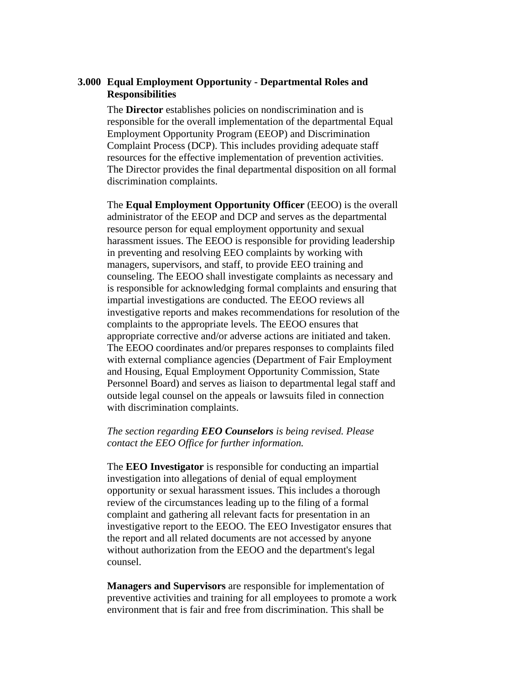# **3.000 Equal Employment Opportunity - Departmental Roles and Responsibilities**

The **Director** establishes policies on nondiscrimination and is responsible for the overall implementation of the departmental Equal Employment Opportunity Program (EEOP) and Discrimination Complaint Process (DCP). This includes providing adequate staff resources for the effective implementation of prevention activities. The Director provides the final departmental disposition on all formal discrimination complaints.

The **Equal Employment Opportunity Officer** (EEOO) is the overall administrator of the EEOP and DCP and serves as the departmental resource person for equal employment opportunity and sexual harassment issues. The EEOO is responsible for providing leadership in preventing and resolving EEO complaints by working with managers, supervisors, and staff, to provide EEO training and counseling. The EEOO shall investigate complaints as necessary and is responsible for acknowledging formal complaints and ensuring that impartial investigations are conducted. The EEOO reviews all investigative reports and makes recommendations for resolution of the complaints to the appropriate levels. The EEOO ensures that appropriate corrective and/or adverse actions are initiated and taken. The EEOO coordinates and/or prepares responses to complaints filed with external compliance agencies (Department of Fair Employment and Housing, Equal Employment Opportunity Commission, State Personnel Board) and serves as liaison to departmental legal staff and outside legal counsel on the appeals or lawsuits filed in connection with discrimination complaints.

# *The section regarding EEO Counselors is being revised. Please contact the EEO Office for further information.*

The **EEO Investigator** is responsible for conducting an impartial investigation into allegations of denial of equal employment opportunity or sexual harassment issues. This includes a thorough review of the circumstances leading up to the filing of a formal complaint and gathering all relevant facts for presentation in an investigative report to the EEOO. The EEO Investigator ensures that the report and all related documents are not accessed by anyone without authorization from the EEOO and the department's legal counsel.

**Managers and Supervisors** are responsible for implementation of preventive activities and training for all employees to promote a work environment that is fair and free from discrimination. This shall be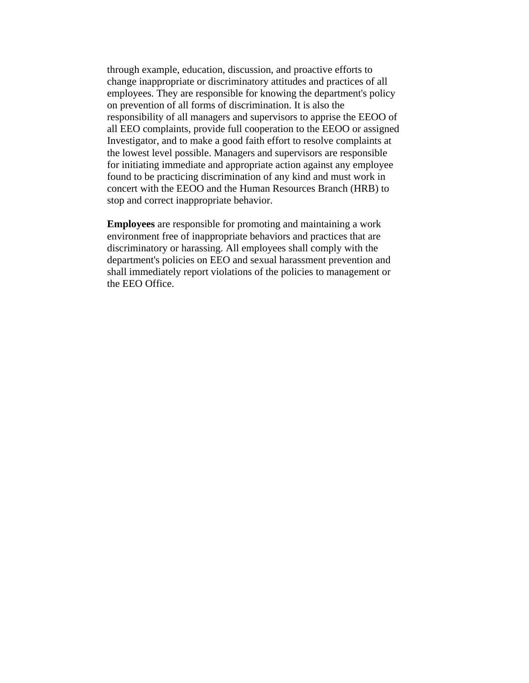through example, education, discussion, and proactive efforts to change inappropriate or discriminatory attitudes and practices of all employees. They are responsible for knowing the department's policy on prevention of all forms of discrimination. It is also the responsibility of all managers and supervisors to apprise the EEOO of all EEO complaints, provide full cooperation to the EEOO or assigned Investigator, and to make a good faith effort to resolve complaints at the lowest level possible. Managers and supervisors are responsible for initiating immediate and appropriate action against any employee found to be practicing discrimination of any kind and must work in concert with the EEOO and the Human Resources Branch (HRB) to stop and correct inappropriate behavior.

**Employees** are responsible for promoting and maintaining a work environment free of inappropriate behaviors and practices that are discriminatory or harassing. All employees shall comply with the department's policies on EEO and sexual harassment prevention and shall immediately report violations of the policies to management or the EEO Office.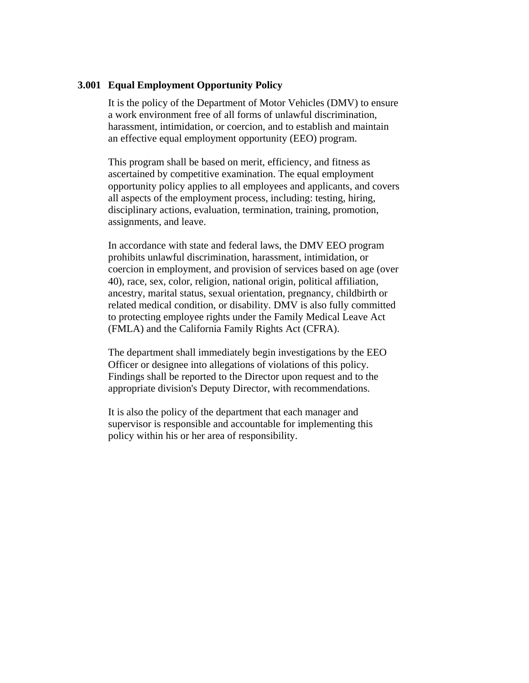# **3.001 Equal Employment Opportunity Policy**

It is the policy of the Department of Motor Vehicles (DMV) to ensure a work environment free of all forms of unlawful discrimination, harassment, intimidation, or coercion, and to establish and maintain an effective equal employment opportunity (EEO) program.

This program shall be based on merit, efficiency, and fitness as ascertained by competitive examination. The equal employment opportunity policy applies to all employees and applicants, and covers all aspects of the employment process, including: testing, hiring, disciplinary actions, evaluation, termination, training, promotion, assignments, and leave.

In accordance with state and federal laws, the DMV EEO program prohibits unlawful discrimination, harassment, intimidation, or coercion in employment, and provision of services based on age (over 40), race, sex, color, religion, national origin, political affiliation, ancestry, marital status, sexual orientation, pregnancy, childbirth or related medical condition, or disability. DMV is also fully committed to protecting employee rights under the Family Medical Leave Act (FMLA) and the California Family Rights Act (CFRA).

The department shall immediately begin investigations by the EEO Officer or designee into allegations of violations of this policy. Findings shall be reported to the Director upon request and to the appropriate division's Deputy Director, with recommendations.

It is also the policy of the department that each manager and supervisor is responsible and accountable for implementing this policy within his or her area of responsibility.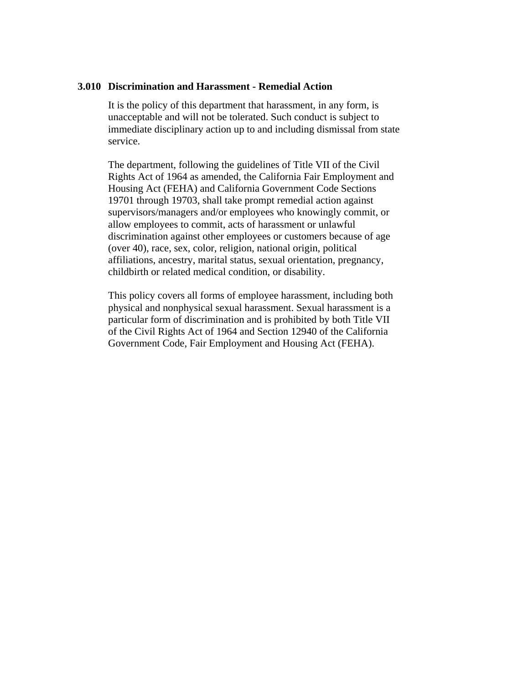### **3.010 Discrimination and Harassment - Remedial Action**

It is the policy of this department that harassment, in any form, is unacceptable and will not be tolerated. Such conduct is subject to immediate disciplinary action up to and including dismissal from state service.

The department, following the guidelines of Title VII of the Civil Rights Act of 1964 as amended, the California Fair Employment and Housing Act (FEHA) and California Government Code Sections 19701 through 19703, shall take prompt remedial action against supervisors/managers and/or employees who knowingly commit, or allow employees to commit, acts of harassment or unlawful discrimination against other employees or customers because of age (over 40), race, sex, color, religion, national origin, political affiliations, ancestry, marital status, sexual orientation, pregnancy, childbirth or related medical condition, or disability.

This policy covers all forms of employee harassment, including both physical and nonphysical sexual harassment. Sexual harassment is a particular form of discrimination and is prohibited by both Title VII of the Civil Rights Act of 1964 and Section 12940 of the California Government Code, Fair Employment and Housing Act (FEHA).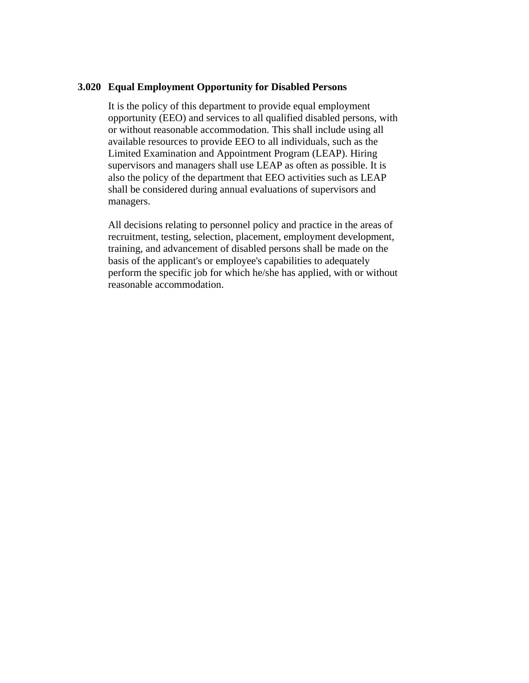### **3.020 Equal Employment Opportunity for Disabled Persons**

It is the policy of this department to provide equal employment opportunity (EEO) and services to all qualified disabled persons, with or without reasonable accommodation. This shall include using all available resources to provide EEO to all individuals, such as the Limited Examination and Appointment Program (LEAP). Hiring supervisors and managers shall use LEAP as often as possible. It is also the policy of the department that EEO activities such as LEAP shall be considered during annual evaluations of supervisors and managers.

All decisions relating to personnel policy and practice in the areas of recruitment, testing, selection, placement, employment development, training, and advancement of disabled persons shall be made on the basis of the applicant's or employee's capabilities to adequately perform the specific job for which he/she has applied, with or without reasonable accommodation.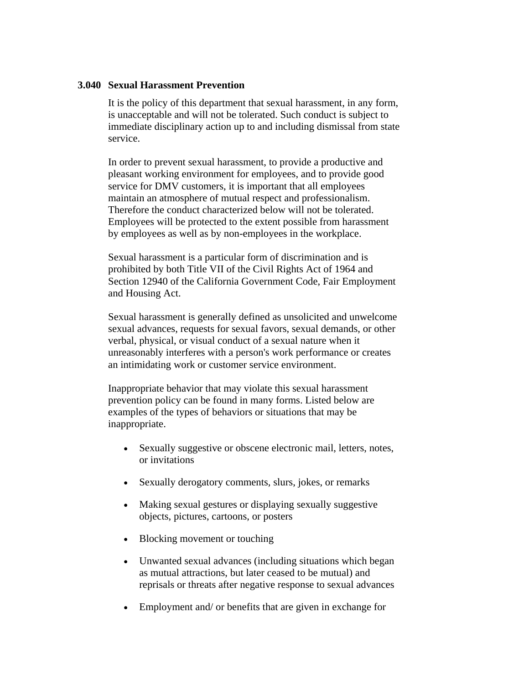## **3.040 Sexual Harassment Prevention**

It is the policy of this department that sexual harassment, in any form, is unacceptable and will not be tolerated. Such conduct is subject to immediate disciplinary action up to and including dismissal from state service.

In order to prevent sexual harassment, to provide a productive and pleasant working environment for employees, and to provide good service for DMV customers, it is important that all employees maintain an atmosphere of mutual respect and professionalism. Therefore the conduct characterized below will not be tolerated. Employees will be protected to the extent possible from harassment by employees as well as by non-employees in the workplace.

Sexual harassment is a particular form of discrimination and is prohibited by both Title VII of the Civil Rights Act of 1964 and Section 12940 of the California Government Code, Fair Employment and Housing Act.

Sexual harassment is generally defined as unsolicited and unwelcome sexual advances, requests for sexual favors, sexual demands, or other verbal, physical, or visual conduct of a sexual nature when it unreasonably interferes with a person's work performance or creates an intimidating work or customer service environment.

Inappropriate behavior that may violate this sexual harassment prevention policy can be found in many forms. Listed below are examples of the types of behaviors or situations that may be inappropriate.

- Sexually suggestive or obscene electronic mail, letters, notes, or invitations
- Sexually derogatory comments, slurs, jokes, or remarks
- Making sexual gestures or displaying sexually suggestive objects, pictures, cartoons, or posters
- Blocking movement or touching
- Unwanted sexual advances (including situations which began as mutual attractions, but later ceased to be mutual) and reprisals or threats after negative response to sexual advances
- Employment and/ or benefits that are given in exchange for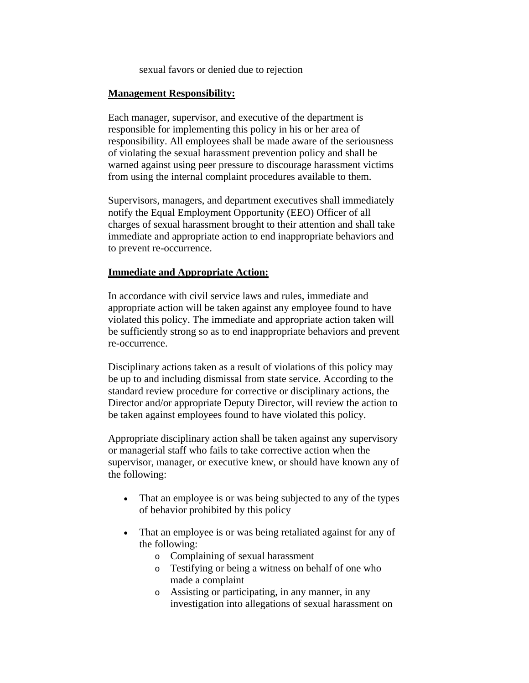sexual favors or denied due to rejection

## **Management Responsibility:**

Each manager, supervisor, and executive of the department is responsible for implementing this policy in his or her area of responsibility. All employees shall be made aware of the seriousness of violating the sexual harassment prevention policy and shall be warned against using peer pressure to discourage harassment victims from using the internal complaint procedures available to them.

Supervisors, managers, and department executives shall immediately notify the Equal Employment Opportunity (EEO) Officer of all charges of sexual harassment brought to their attention and shall take immediate and appropriate action to end inappropriate behaviors and to prevent re-occurrence.

## **Immediate and Appropriate Action:**

In accordance with civil service laws and rules, immediate and appropriate action will be taken against any employee found to have violated this policy. The immediate and appropriate action taken will be sufficiently strong so as to end inappropriate behaviors and prevent re-occurrence.

Disciplinary actions taken as a result of violations of this policy may be up to and including dismissal from state service. According to the standard review procedure for corrective or disciplinary actions, the Director and/or appropriate Deputy Director, will review the action to be taken against employees found to have violated this policy.

Appropriate disciplinary action shall be taken against any supervisory or managerial staff who fails to take corrective action when the supervisor, manager, or executive knew, or should have known any of the following:

- That an employee is or was being subjected to any of the types of behavior prohibited by this policy
- That an employee is or was being retaliated against for any of the following:
	- o Complaining of sexual harassment
	- o Testifying or being a witness on behalf of one who made a complaint
	- o Assisting or participating, in any manner, in any investigation into allegations of sexual harassment on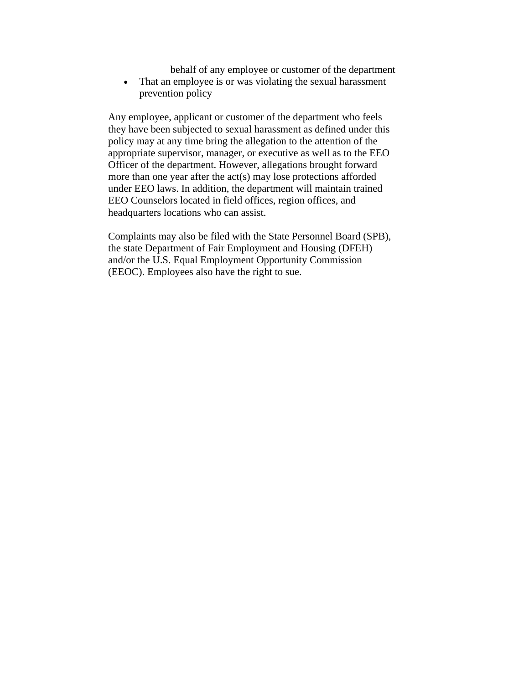behalf of any employee or customer of the department

• That an employee is or was violating the sexual harassment prevention policy

Any employee, applicant or customer of the department who feels they have been subjected to sexual harassment as defined under this policy may at any time bring the allegation to the attention of the appropriate supervisor, manager, or executive as well as to the EEO Officer of the department. However, allegations brought forward more than one year after the act(s) may lose protections afforded under EEO laws. In addition, the department will maintain trained EEO Counselors located in field offices, region offices, and headquarters locations who can assist.

Complaints may also be filed with the State Personnel Board (SPB), the state Department of Fair Employment and Housing (DFEH) and/or the U.S. Equal Employment Opportunity Commission (EEOC). Employees also have the right to sue.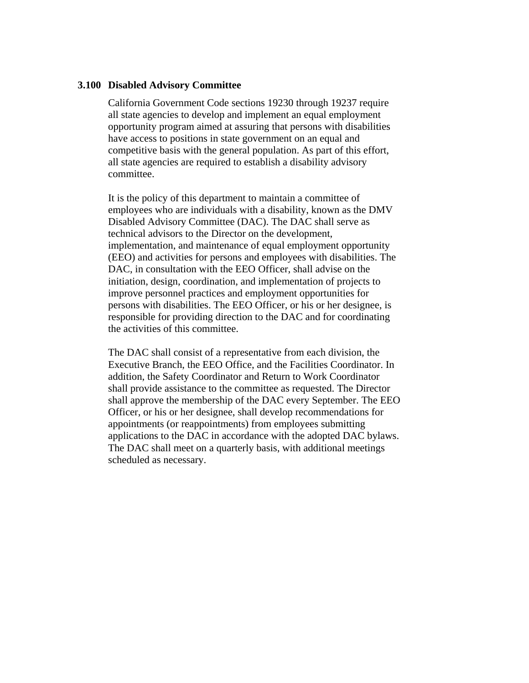### **3.100 Disabled Advisory Committee**

California Government Code sections 19230 through 19237 require all state agencies to develop and implement an equal employment opportunity program aimed at assuring that persons with disabilities have access to positions in state government on an equal and competitive basis with the general population. As part of this effort, all state agencies are required to establish a disability advisory committee.

It is the policy of this department to maintain a committee of employees who are individuals with a disability, known as the DMV Disabled Advisory Committee (DAC). The DAC shall serve as technical advisors to the Director on the development, implementation, and maintenance of equal employment opportunity (EEO) and activities for persons and employees with disabilities. The DAC, in consultation with the EEO Officer, shall advise on the initiation, design, coordination, and implementation of projects to improve personnel practices and employment opportunities for persons with disabilities. The EEO Officer, or his or her designee, is responsible for providing direction to the DAC and for coordinating the activities of this committee.

The DAC shall consist of a representative from each division, the Executive Branch, the EEO Office, and the Facilities Coordinator. In addition, the Safety Coordinator and Return to Work Coordinator shall provide assistance to the committee as requested. The Director shall approve the membership of the DAC every September. The EEO Officer, or his or her designee, shall develop recommendations for appointments (or reappointments) from employees submitting applications to the DAC in accordance with the adopted DAC bylaws. The DAC shall meet on a quarterly basis, with additional meetings scheduled as necessary.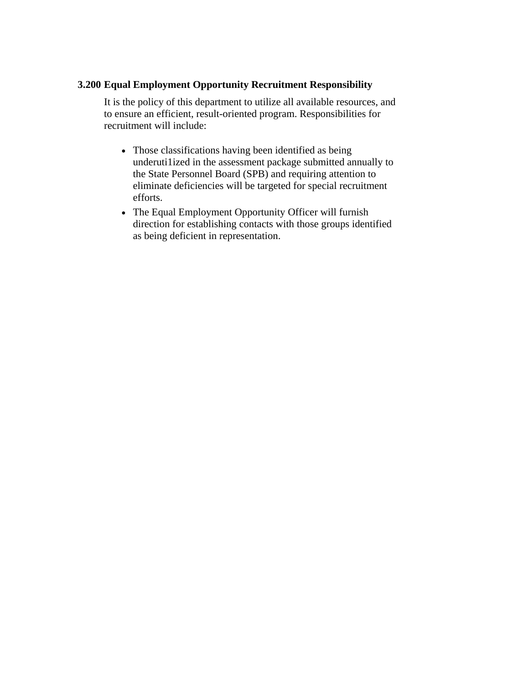# **3.200 Equal Employment Opportunity Recruitment Responsibility**

It is the policy of this department to utilize all available resources, and to ensure an efficient, result-oriented program. Responsibilities for recruitment will include:

- Those classifications having been identified as being underuti1ized in the assessment package submitted annually to the State Personnel Board (SPB) and requiring attention to eliminate deficiencies will be targeted for special recruitment efforts.
- The Equal Employment Opportunity Officer will furnish direction for establishing contacts with those groups identified as being deficient in representation.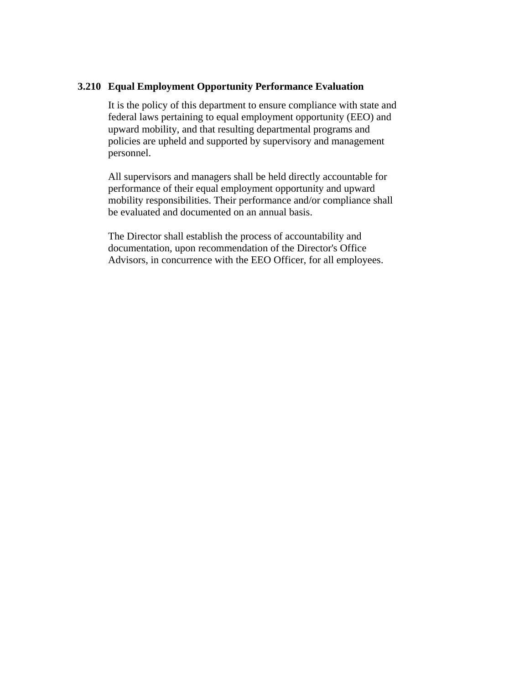### **3.210 Equal Employment Opportunity Performance Evaluation**

It is the policy of this department to ensure compliance with state and federal laws pertaining to equal employment opportunity (EEO) and upward mobility, and that resulting departmental programs and policies are upheld and supported by supervisory and management personnel.

All supervisors and managers shall be held directly accountable for performance of their equal employment opportunity and upward mobility responsibilities. Their performance and/or compliance shall be evaluated and documented on an annual basis.

The Director shall establish the process of accountability and documentation, upon recommendation of the Director's Office Advisors, in concurrence with the EEO Officer, for all employees.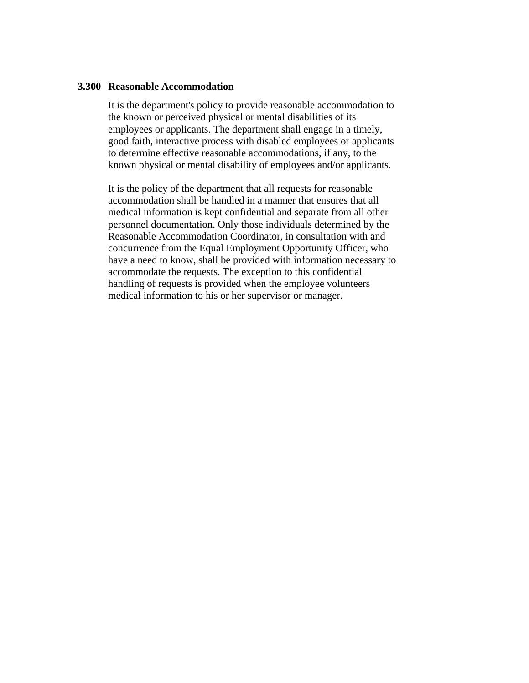#### **3.300 Reasonable Accommodation**

It is the department's policy to provide reasonable accommodation to the known or perceived physical or mental disabilities of its employees or applicants. The department shall engage in a timely, good faith, interactive process with disabled employees or applicants to determine effective reasonable accommodations, if any, to the known physical or mental disability of employees and/or applicants.

It is the policy of the department that all requests for reasonable accommodation shall be handled in a manner that ensures that all medical information is kept confidential and separate from all other personnel documentation. Only those individuals determined by the Reasonable Accommodation Coordinator, in consultation with and concurrence from the Equal Employment Opportunity Officer, who have a need to know, shall be provided with information necessary to accommodate the requests. The exception to this confidential handling of requests is provided when the employee volunteers medical information to his or her supervisor or manager.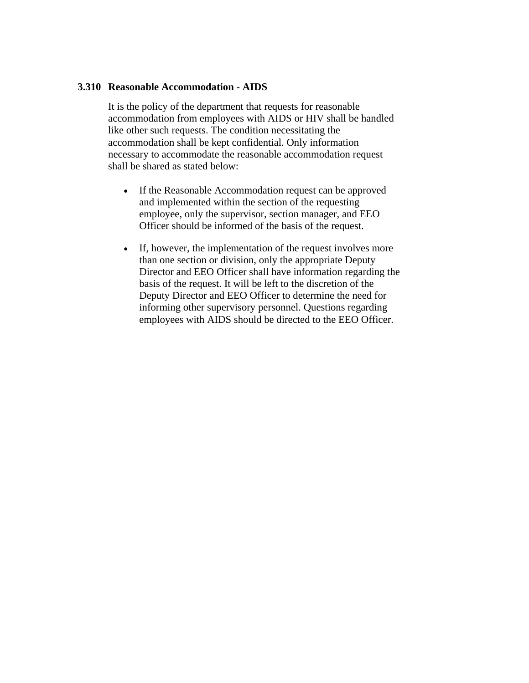## **3.310 Reasonable Accommodation - AIDS**

It is the policy of the department that requests for reasonable accommodation from employees with AIDS or HIV shall be handled like other such requests. The condition necessitating the accommodation shall be kept confidential. Only information necessary to accommodate the reasonable accommodation request shall be shared as stated below:

- If the Reasonable Accommodation request can be approved and implemented within the section of the requesting employee, only the supervisor, section manager, and EEO Officer should be informed of the basis of the request.
- If, however, the implementation of the request involves more than one section or division, only the appropriate Deputy Director and EEO Officer shall have information regarding the basis of the request. It will be left to the discretion of the Deputy Director and EEO Officer to determine the need for informing other supervisory personnel. Questions regarding employees with AIDS should be directed to the EEO Officer.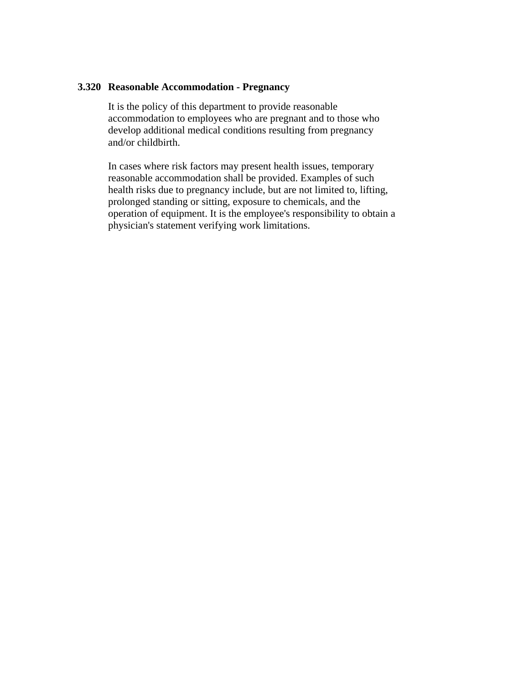## **3.320 Reasonable Accommodation - Pregnancy**

It is the policy of this department to provide reasonable accommodation to employees who are pregnant and to those who develop additional medical conditions resulting from pregnancy and/or childbirth.

In cases where risk factors may present health issues, temporary reasonable accommodation shall be provided. Examples of such health risks due to pregnancy include, but are not limited to, lifting, prolonged standing or sitting, exposure to chemicals, and the operation of equipment. It is the employee's responsibility to obtain a physician's statement verifying work limitations.